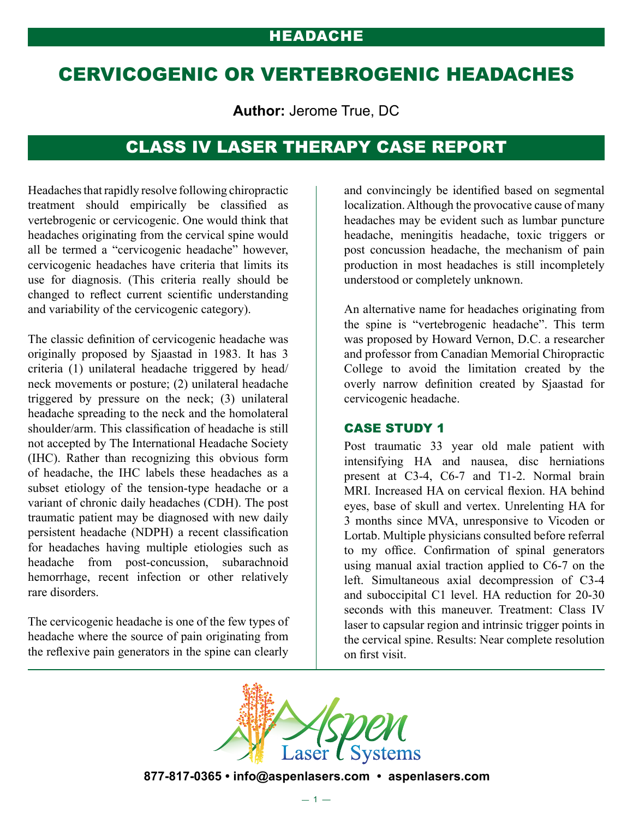# CERVICOGENIC OR VERTEBROGENIC HEADACHES

**Author:** Jerome True, DC

## CLASS IV LASER THERAPY CASE REPORT

Headaches that rapidly resolve following chiropractic treatment should empirically be classified as vertebrogenic or cervicogenic. One would think that headaches originating from the cervical spine would all be termed a "cervicogenic headache" however, cervicogenic headaches have criteria that limits its use for diagnosis. (This criteria really should be changed to reflect current scientific understanding and variability of the cervicogenic category).

The classic definition of cervicogenic headache was originally proposed by Sjaastad in 1983. It has 3 criteria (1) unilateral headache triggered by head/ neck movements or posture; (2) unilateral headache triggered by pressure on the neck; (3) unilateral headache spreading to the neck and the homolateral shoulder/arm. This classification of headache is still not accepted by The International Headache Society (IHC). Rather than recognizing this obvious form of headache, the IHC labels these headaches as a subset etiology of the tension-type headache or a variant of chronic daily headaches (CDH). The post traumatic patient may be diagnosed with new daily persistent headache (NDPH) a recent classification for headaches having multiple etiologies such as headache from post-concussion, subarachnoid hemorrhage, recent infection or other relatively rare disorders.

The cervicogenic headache is one of the few types of headache where the source of pain originating from the reflexive pain generators in the spine can clearly

and convincingly be identified based on segmental localization. Although the provocative cause of many headaches may be evident such as lumbar puncture headache, meningitis headache, toxic triggers or post concussion headache, the mechanism of pain production in most headaches is still incompletely understood or completely unknown.

An alternative name for headaches originating from the spine is "vertebrogenic headache". This term was proposed by Howard Vernon, D.C. a researcher and professor from Canadian Memorial Chiropractic College to avoid the limitation created by the overly narrow definition created by Sjaastad for cervicogenic headache.

### CASE STUDY 1

Post traumatic 33 year old male patient with intensifying HA and nausea, disc herniations present at C3-4, C6-7 and T1-2. Normal brain MRI. Increased HA on cervical flexion. HA behind eyes, base of skull and vertex. Unrelenting HA for 3 months since MVA, unresponsive to Vicoden or Lortab. Multiple physicians consulted before referral to my office. Confirmation of spinal generators using manual axial traction applied to C6-7 on the left. Simultaneous axial decompression of C3-4 and suboccipital C1 level. HA reduction for 20-30 seconds with this maneuver. Treatment: Class IV laser to capsular region and intrinsic trigger points in the cervical spine. Results: Near complete resolution on first visit.



**877-817-0365 • info@aspenlasers.com • aspenlasers.com**